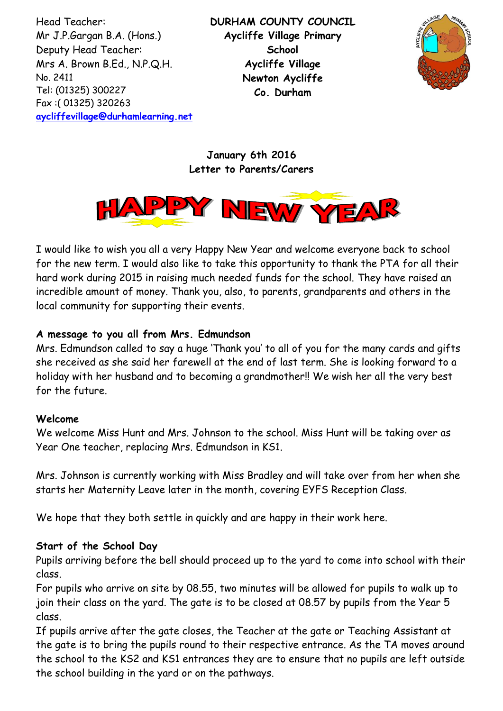Head Teacher: Mr J.P.Gargan B.A. (Hons.) Deputy Head Teacher: Mrs A. Brown B.Ed., N.P.Q.H. No. 2411 Tel: (01325) 300227 Fax :( 01325) 320263 **[aycliffevillage@durhamlearning.net](mailto:aycliffevillage@durhamlearning.net)** **DURHAM COUNTY COUNCIL Aycliffe Village Primary School Aycliffe Village Newton Aycliffe Co. Durham**



**January 6th 2016 Letter to Parents/Carers**



I would like to wish you all a very Happy New Year and welcome everyone back to school for the new term. I would also like to take this opportunity to thank the PTA for all their hard work during 2015 in raising much needed funds for the school. They have raised an incredible amount of money. Thank you, also, to parents, grandparents and others in the local community for supporting their events.

## **A message to you all from Mrs. Edmundson**

Mrs. Edmundson called to say a huge 'Thank you' to all of you for the many cards and gifts she received as she said her farewell at the end of last term. She is looking forward to a holiday with her husband and to becoming a grandmother!! We wish her all the very best for the future.

#### **Welcome**

We welcome Miss Hunt and Mrs. Johnson to the school. Miss Hunt will be taking over as Year One teacher, replacing Mrs. Edmundson in KS1.

Mrs. Johnson is currently working with Miss Bradley and will take over from her when she starts her Maternity Leave later in the month, covering EYFS Reception Class.

We hope that they both settle in quickly and are happy in their work here.

## **Start of the School Day**

Pupils arriving before the bell should proceed up to the yard to come into school with their class.

For pupils who arrive on site by 08.55, two minutes will be allowed for pupils to walk up to join their class on the yard. The gate is to be closed at 08.57 by pupils from the Year 5 class.

If pupils arrive after the gate closes, the Teacher at the gate or Teaching Assistant at the gate is to bring the pupils round to their respective entrance. As the TA moves around the school to the KS2 and KS1 entrances they are to ensure that no pupils are left outside the school building in the yard or on the pathways.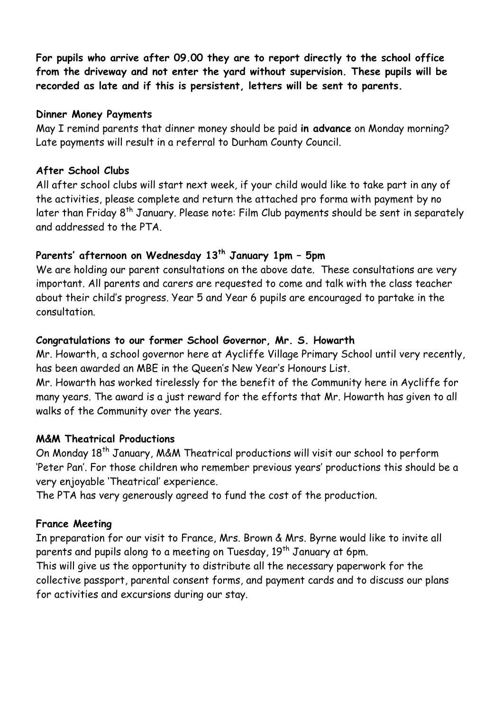**For pupils who arrive after 09.00 they are to report directly to the school office from the driveway and not enter the yard without supervision. These pupils will be recorded as late and if this is persistent, letters will be sent to parents.**

#### **Dinner Money Payments**

May I remind parents that dinner money should be paid **in advance** on Monday morning? Late payments will result in a referral to Durham County Council.

## **After School Clubs**

All after school clubs will start next week, if your child would like to take part in any of the activities, please complete and return the attached pro forma with payment by no later than Friday 8<sup>th</sup> January. Please note: Film Club payments should be sent in separately and addressed to the PTA.

# **Parents' afternoon on Wednesday 13th January 1pm – 5pm**

We are holding our parent consultations on the above date. These consultations are very important. All parents and carers are requested to come and talk with the class teacher about their child's progress. Year 5 and Year 6 pupils are encouraged to partake in the consultation.

## **Congratulations to our former School Governor, Mr. S. Howarth**

Mr. Howarth, a school governor here at Aycliffe Village Primary School until very recently, has been awarded an MBE in the Queen's New Year's Honours List.

Mr. Howarth has worked tirelessly for the benefit of the Community here in Aycliffe for many years. The award is a just reward for the efforts that Mr. Howarth has given to all walks of the Community over the years.

## **M&M Theatrical Productions**

On Monday 18<sup>th</sup> January, M&M Theatrical productions will visit our school to perform 'Peter Pan'. For those children who remember previous years' productions this should be a very enjoyable 'Theatrical' experience.

The PTA has very generously agreed to fund the cost of the production.

## **France Meeting**

In preparation for our visit to France, Mrs. Brown & Mrs. Byrne would like to invite all parents and pupils along to a meeting on Tuesday, 19<sup>th</sup> January at 6pm.

This will give us the opportunity to distribute all the necessary paperwork for the collective passport, parental consent forms, and payment cards and to discuss our plans for activities and excursions during our stay.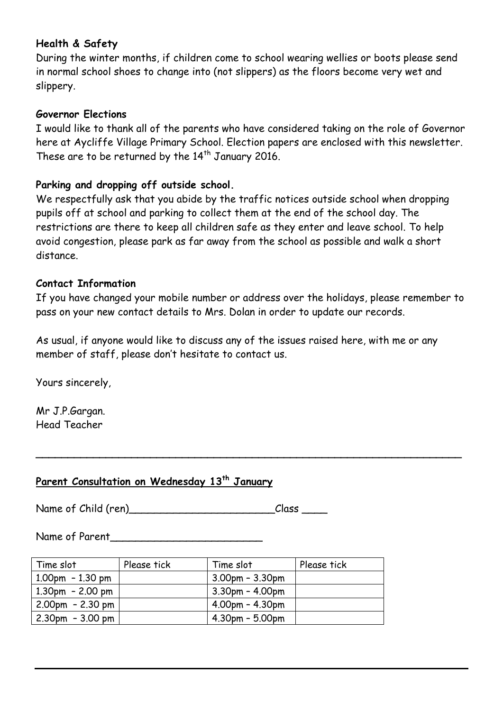# **Health & Safety**

During the winter months, if children come to school wearing wellies or boots please send in normal school shoes to change into (not slippers) as the floors become very wet and slippery.

#### **Governor Elections**

I would like to thank all of the parents who have considered taking on the role of Governor here at Aycliffe Village Primary School. Election papers are enclosed with this newsletter. These are to be returned by the  $14<sup>th</sup>$  January 2016.

## **Parking and dropping off outside school.**

We respectfully ask that you abide by the traffic notices outside school when dropping pupils off at school and parking to collect them at the end of the school day. The restrictions are there to keep all children safe as they enter and leave school. To help avoid congestion, please park as far away from the school as possible and walk a short distance.

#### **Contact Information**

If you have changed your mobile number or address over the holidays, please remember to pass on your new contact details to Mrs. Dolan in order to update our records.

As usual, if anyone would like to discuss any of the issues raised here, with me or any member of staff, please don't hesitate to contact us.

**\_\_\_\_\_\_\_\_\_\_\_\_\_\_\_\_\_\_\_\_\_\_\_\_\_\_\_\_\_\_\_\_\_\_\_\_\_\_\_\_\_\_\_\_\_\_\_\_\_\_\_\_\_\_\_\_\_\_\_\_\_\_\_\_\_\_\_**

Yours sincerely,

Mr J.P.Gargan. Head Teacher

# **Parent Consultation on Wednesday 13th January**

Name of Child (ren) entitled and the Class class class class  $\sim$ 

Name of Parent\_\_\_\_\_\_\_\_\_\_\_\_\_\_\_\_\_\_\_\_\_\_\_\_

| Time slot             | Please tick | Time slot             | Please tick |
|-----------------------|-------------|-----------------------|-------------|
| $1.00$ pm - 1.30 pm   |             | $3.00$ pm – $3.30$ pm |             |
| $1.30$ pm - 2.00 pm   |             | $3.30$ pm - $4.00$ pm |             |
| 2.00pm - 2.30 pm      |             | $4.00pm - 4.30pm$     |             |
| $  2.30$ pm - 3.00 pm |             | $4.30pm - 5.00pm$     |             |